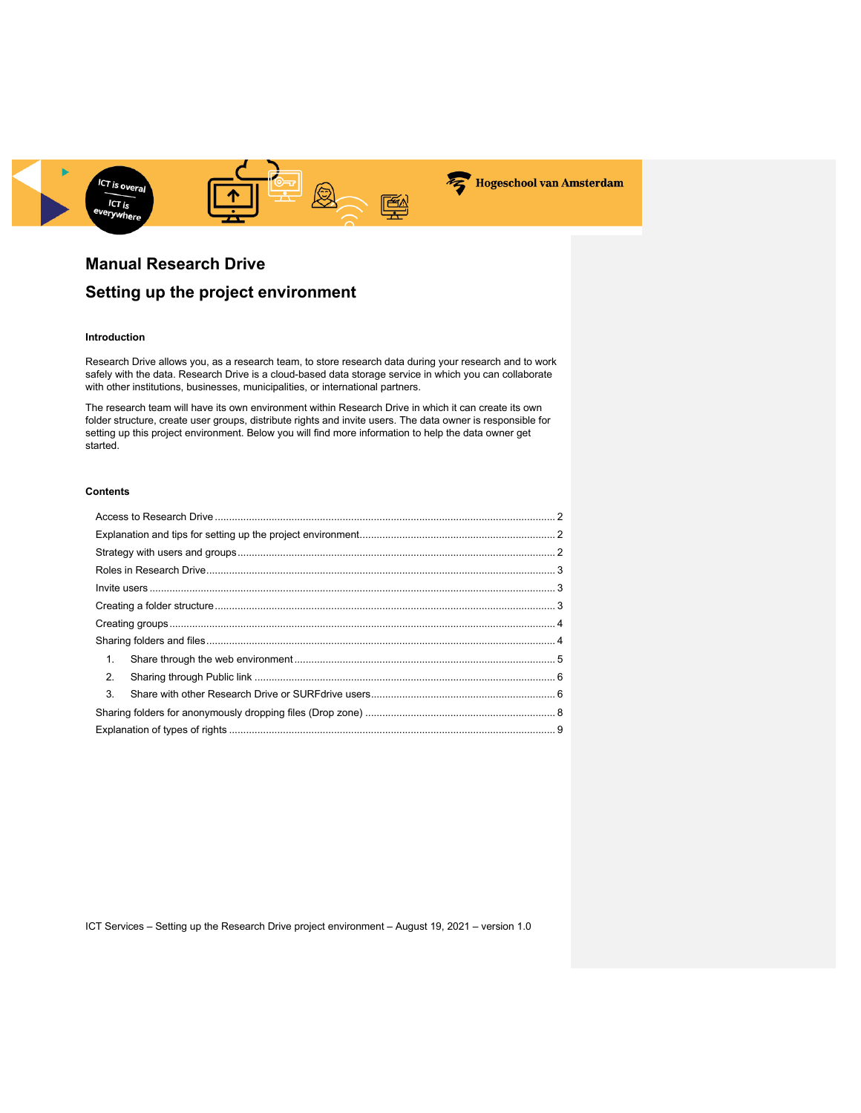

# **Manual Research Drive**

# **Setting up the project environment**

## **Introduction**

Research Drive allows you, as a research team, to store research data during your research and to work safely with the data. Research Drive is a cloud-based data storage service in which you can collaborate with other institutions, businesses, municipalities, or international partners.

The research team will have its own environment within Research Drive in which it can create its own folder structure, create user groups, distribute rights and invite users. The data owner is responsible for setting up this project environment. Below you will find more information to help the data owner get started.

#### **Contents**

| 1. |  |
|----|--|
| 2. |  |
| 3. |  |
|    |  |
|    |  |
|    |  |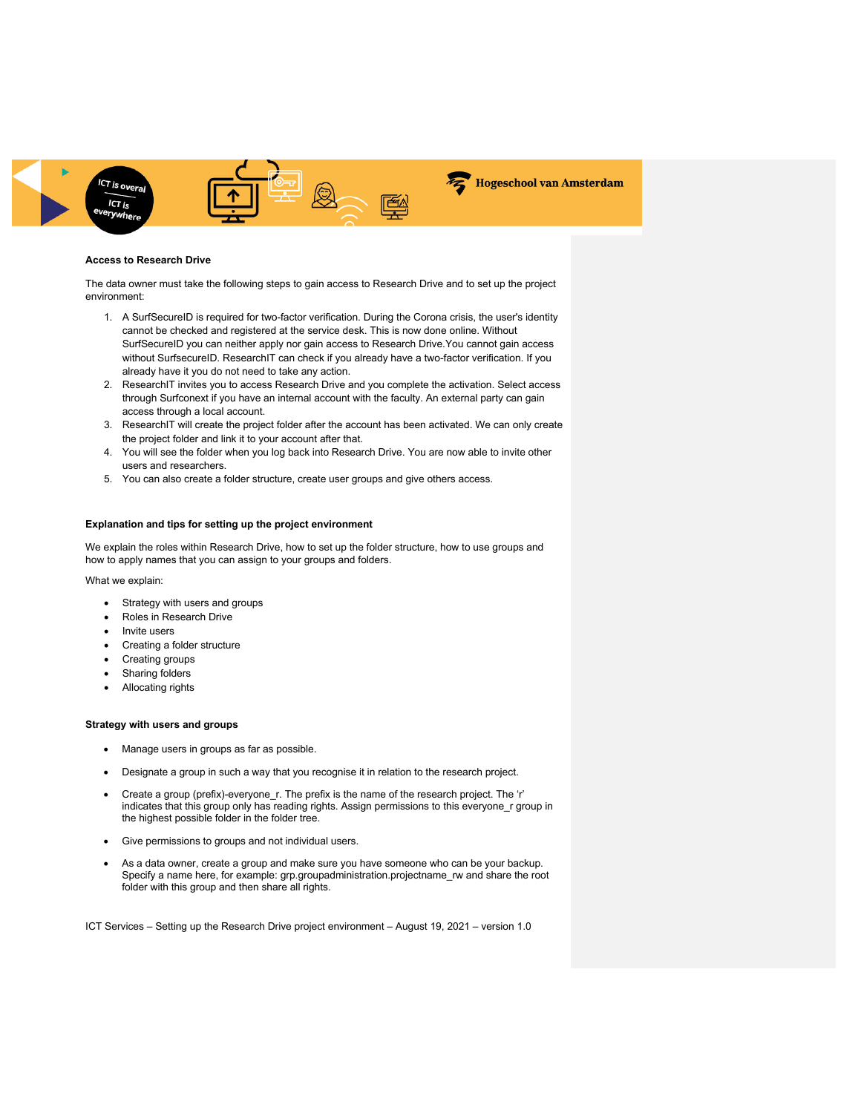

#### **Access to Research Drive**

The data owner must take the following steps to gain access to Research Drive and to set up the project environment:

- 1. A SurfSecureID is required for two-factor verification. During the Corona crisis, the user's identity cannot be checked and registered at the service desk. This is now done online. Without SurfSecureID you can neither apply nor gain access to Research Drive.You cannot gain access without SurfsecureID. ResearchIT can check if you already have a two-factor verification. If you already have it you do not need to take any action.
- 2. ResearchIT invites you to access Research Drive and you complete the activation. Select access through Surfconext if you have an internal account with the faculty. An external party can gain access through a local account.
- 3. ResearchIT will create the project folder after the account has been activated. We can only create the project folder and link it to your account after that.
- 4. You will see the folder when you log back into Research Drive. You are now able to invite other users and researchers.
- 5. You can also create a folder structure, create user groups and give others access.

### **Explanation and tips for setting up the project environment**

We explain the roles within Research Drive, how to set up the folder structure, how to use groups and how to apply names that you can assign to your groups and folders.

#### What we explain:

- Strategy with users and groups
- Roles in Research Drive
- Invite users
- Creating a folder structure
- Creating groups
- Sharing folders
- Allocating rights

#### **Strategy with users and groups**

- Manage users in groups as far as possible.
- Designate a group in such a way that you recognise it in relation to the research project.
- Create a group (prefix)-everyone r. The prefix is the name of the research project. The 'r' indicates that this group only has reading rights. Assign permissions to this everyone\_r group in the highest possible folder in the folder tree.
- Give permissions to groups and not individual users.
- As a data owner, create a group and make sure you have someone who can be your backup. Specify a name here, for example: grp.groupadministration.projectname\_rw and share the root folder with this group and then share all rights.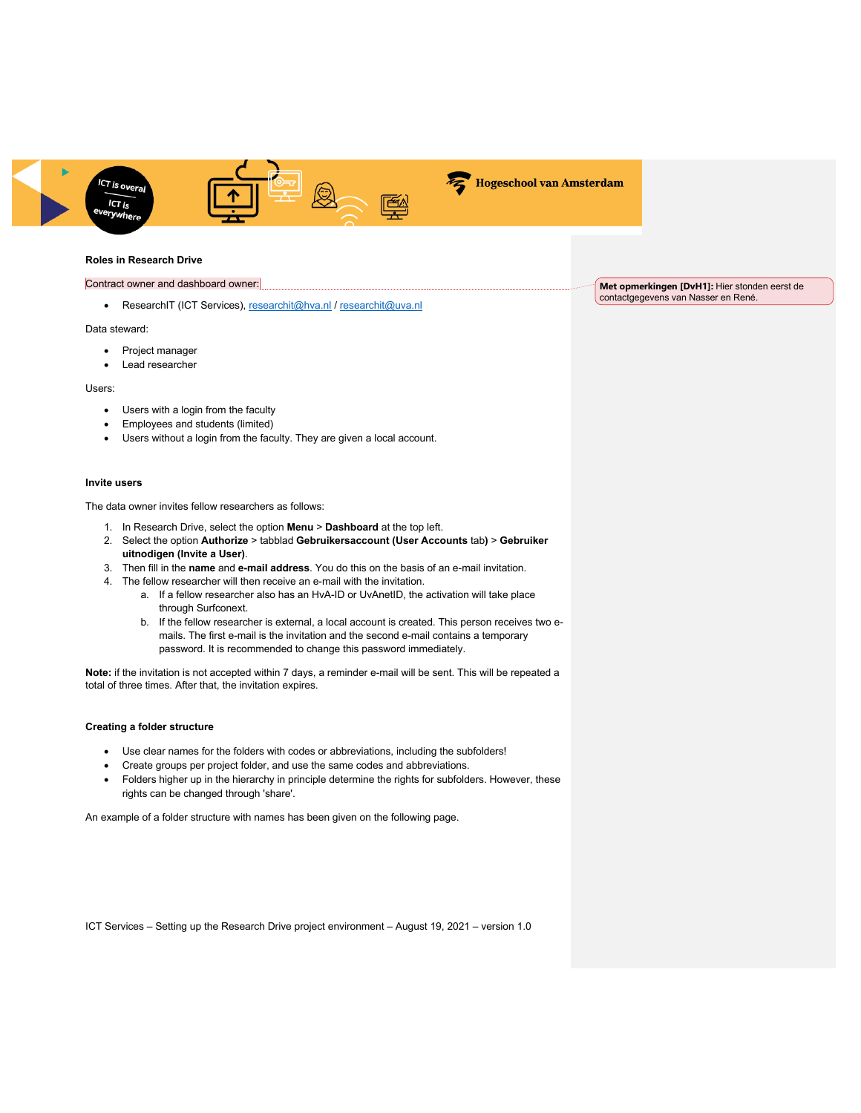



Hogeschool van Amsterdam

## **Roles in Research Drive**

#### Contract owner and dashboard owner:

• ResearchIT (ICT Services), researchit@hva.nl / researchit@uva.nl

Data steward:

- Project manager
- Lead researcher

#### Users:

- Users with a login from the faculty
- Employees and students (limited)
- Users without a login from the faculty. They are given a local account.

#### **Invite users**

The data owner invites fellow researchers as follows:

- 1. In Research Drive, select the option **Menu** > **Dashboard** at the top left.
- 2. Select the option **Authorize** > tabblad **Gebruikersaccount (User Accounts** tab**)** > **Gebruiker uitnodigen (Invite a User)**.
- 3. Then fill in the **name** and **e-mail address**. You do this on the basis of an e-mail invitation.
- 4. The fellow researcher will then receive an e-mail with the invitation.
	- a. If a fellow researcher also has an HvA-ID or UvAnetID, the activation will take place through Surfconext.
	- b. If the fellow researcher is external, a local account is created. This person receives two emails. The first e-mail is the invitation and the second e-mail contains a temporary password. It is recommended to change this password immediately.

**Note:** if the invitation is not accepted within 7 days, a reminder e-mail will be sent. This will be repeated a total of three times. After that, the invitation expires.

#### **Creating a folder structure**

- Use clear names for the folders with codes or abbreviations, including the subfolders!
- Create groups per project folder, and use the same codes and abbreviations.
- Folders higher up in the hierarchy in principle determine the rights for subfolders. However, these rights can be changed through 'share'.

An example of a folder structure with names has been given on the following page.

ICT Services – Setting up the Research Drive project environment – August 19, 2021 – version 1.0

**Met opmerkingen [DvH1]:** Hier stonden eerst de contactgegevens van Nasser en René.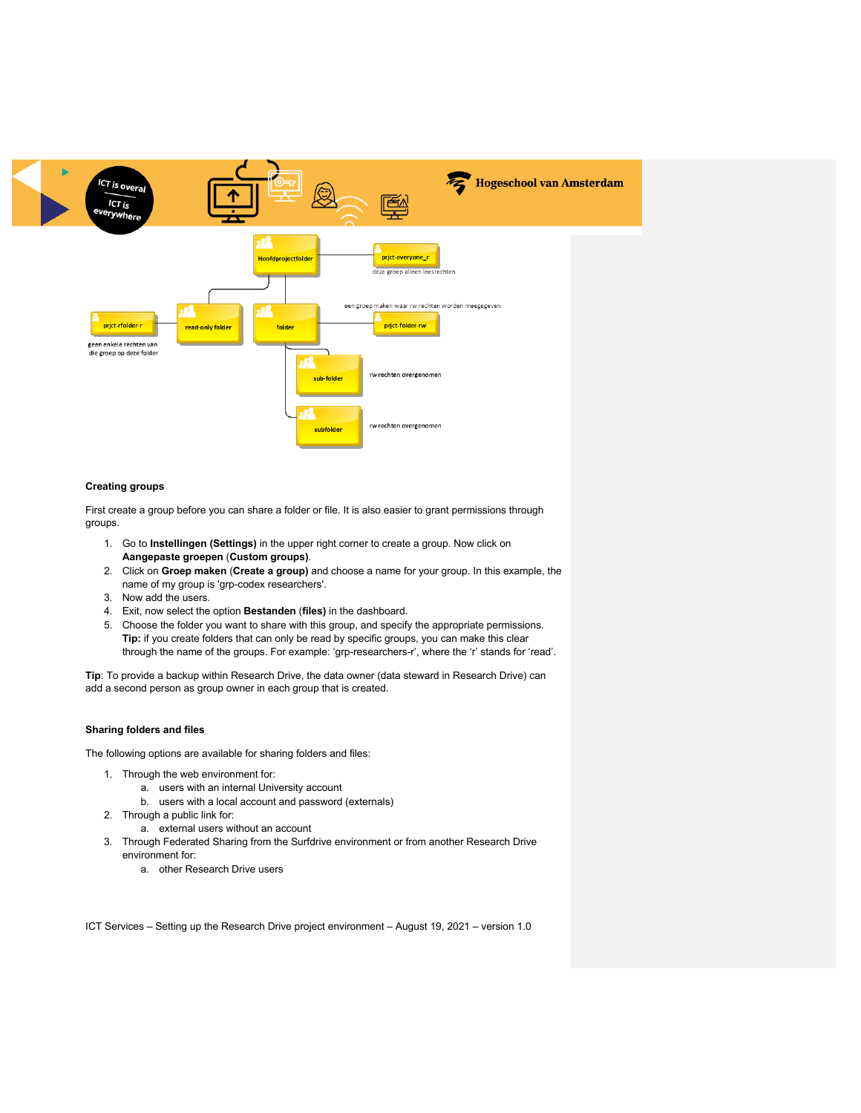

## **Creating groups**

First create a group before you can share a folder or file. It is also easier to grant permissions through groups.

- 1. Go to **Instellingen (Settings)** in the upper right corner to create a group. Now click on **Aangepaste groepen** (**Custom groups)**.
- 2. Click on **Groep maken** (**Create a group)** and choose a name for your group. In this example, the name of my group is 'grp-codex researchers'.
- 3. Now add the users.
- 4. Exit, now select the option **Bestanden** (**files)** in the dashboard.
- 5. Choose the folder you want to share with this group, and specify the appropriate permissions. **Tip:** if you create folders that can only be read by specific groups, you can make this clear through the name of the groups. For example: 'grp-researchers-r', where the 'r' stands for 'read'.

**Tip**: To provide a backup within Research Drive, the data owner (data steward in Research Drive) can add a second person as group owner in each group that is created.

#### **Sharing folders and files**

The following options are available for sharing folders and files:

- 1. Through the web environment for:
	- a. users with an internal University account
	- b. users with a local account and password (externals)
- 2. Through a public link for:
	- a. external users without an account
- 3. Through Federated Sharing from the Surfdrive environment or from another Research Drive environment for:
	- a. other Research Drive users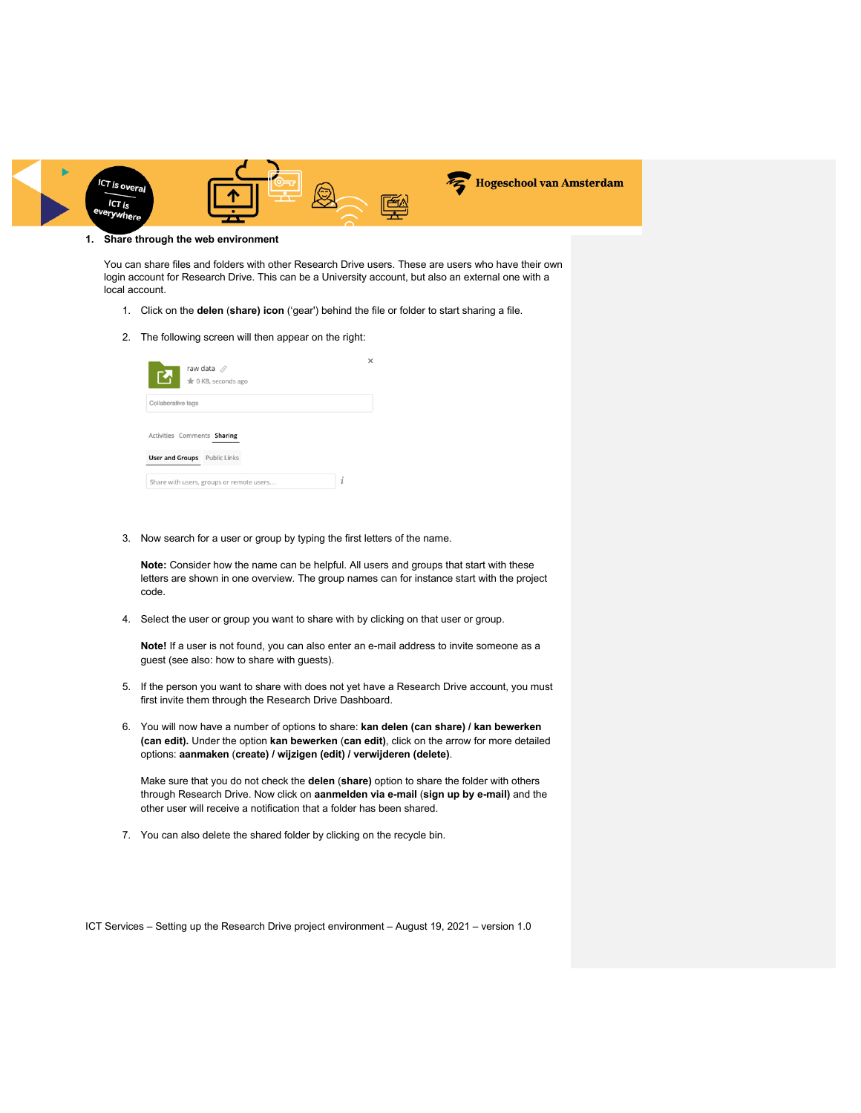

#### **1. Share through the web environment**

You can share files and folders with other Research Drive users. These are users who have their own login account for Research Drive. This can be a University account, but also an external one with a local account.

- 1. Click on the **delen** (**share) icon** ('gear') behind the file or folder to start sharing a file.
- 2. The following screen will then appear on the right:

| raw data $\mathcal{O}$<br>R.<br>to KB, seconds ago |  |
|----------------------------------------------------|--|
| Collaborative tags                                 |  |
| Activities Comments Sharing                        |  |
| <b>User and Groups</b> Public Links                |  |
|                                                    |  |

3. Now search for a user or group by typing the first letters of the name.

**Note:** Consider how the name can be helpful. All users and groups that start with these letters are shown in one overview. The group names can for instance start with the project code.

4. Select the user or group you want to share with by clicking on that user or group.

**Note!** If a user is not found, you can also enter an e-mail address to invite someone as a guest (see also: how to share with guests).

- 5. If the person you want to share with does not yet have a Research Drive account, you must first invite them through the Research Drive Dashboard.
- 6. You will now have a number of options to share: **kan delen (can share) / kan bewerken (can edit).** Under the option **kan bewerken** (**can edit)**, click on the arrow for more detailed options: **aanmaken** (**create) / wijzigen (edit) / verwijderen (delete)**.

Make sure that you do not check the **delen** (**share)** option to share the folder with others through Research Drive. Now click on **aanmelden via e-mail** (**sign up by e-mail)** and the other user will receive a notification that a folder has been shared.

7. You can also delete the shared folder by clicking on the recycle bin.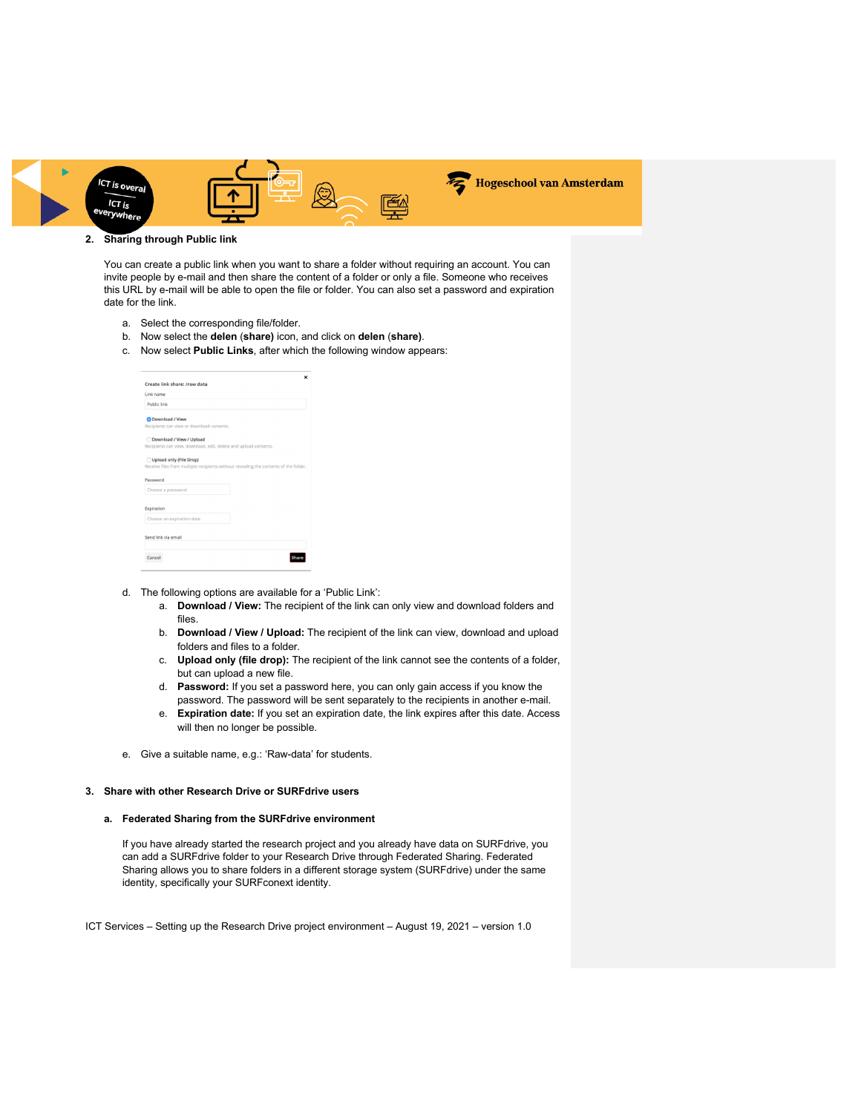

# **2. Sharing through Public link**

You can create a public link when you want to share a folder without requiring an account. You can invite people by e-mail and then share the content of a folder or only a file. Someone who receives this URL by e-mail will be able to open the file or folder. You can also set a password and expiration date for the link.

- a. Select the corresponding file/folder.
- b. Now select the **delen** (**share)** icon, and click on **delen** (**share)**.
- c. Now select **Public Links**, after which the following window appears:

| Create link share: /raw data                                     | ×                                                                                    |  |  |
|------------------------------------------------------------------|--------------------------------------------------------------------------------------|--|--|
| Link name                                                        |                                                                                      |  |  |
| Public link                                                      |                                                                                      |  |  |
| Download / View                                                  |                                                                                      |  |  |
| Recipients can view or download contents.                        |                                                                                      |  |  |
| Download / View / Upload                                         |                                                                                      |  |  |
| Recipients can view, download, edit, delete and upload contents. |                                                                                      |  |  |
| Upload only (File Drop)                                          |                                                                                      |  |  |
|                                                                  | Receive files from multiple recipients without revealing the contents of the folder. |  |  |
| Password                                                         |                                                                                      |  |  |
| Choose a password                                                |                                                                                      |  |  |
| Expiration                                                       |                                                                                      |  |  |
| Choose an expiration date                                        |                                                                                      |  |  |
| Send link via email                                              |                                                                                      |  |  |
|                                                                  |                                                                                      |  |  |
| Cancel                                                           |                                                                                      |  |  |
|                                                                  |                                                                                      |  |  |

- d. The following options are available for a 'Public Link':
	- a. **Download / View:** The recipient of the link can only view and download folders and files.
	- b. **Download / View / Upload:** The recipient of the link can view, download and upload folders and files to a folder.
	- c. **Upload only (file drop):** The recipient of the link cannot see the contents of a folder, but can upload a new file.
	- d. **Password:** If you set a password here, you can only gain access if you know the password. The password will be sent separately to the recipients in another e-mail.
	- e. **Expiration date:** If you set an expiration date, the link expires after this date. Access will then no longer be possible.
- e. Give a suitable name, e.g.: 'Raw-data' for students.

#### **3. Share with other Research Drive or SURFdrive users**

### **a. Federated Sharing from the SURFdrive environment**

If you have already started the research project and you already have data on SURFdrive, you can add a SURFdrive folder to your Research Drive through Federated Sharing. Federated Sharing allows you to share folders in a different storage system (SURFdrive) under the same identity, specifically your SURFconext identity.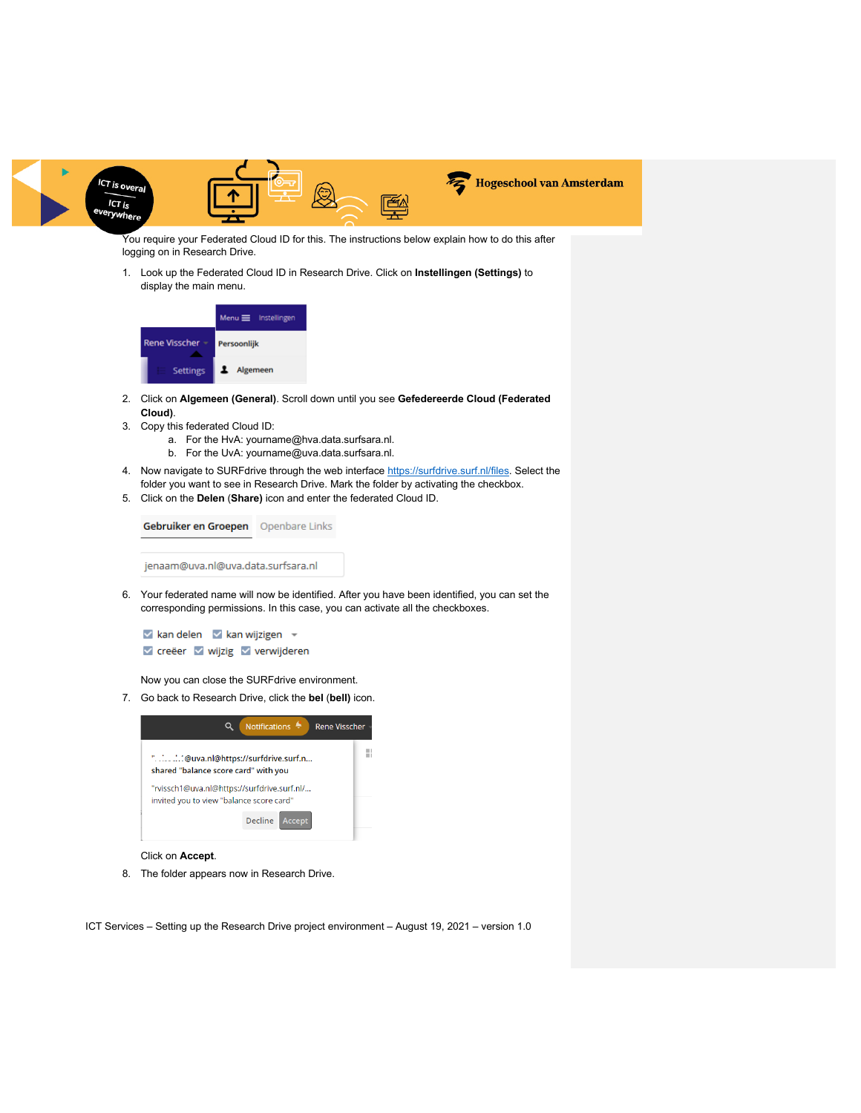

You require your Federated Cloud ID for this. The instructions below explain how to do this after logging on in Research Drive.

1. Look up the Federated Cloud ID in Research Drive. Click on **Instellingen (Settings)** to display the main menu.



- 2. Click on **Algemeen (General)**. Scroll down until you see **Gefedereerde Cloud (Federated Cloud)**.
- 3. Copy this federated Cloud ID:
	- a. For the HvA: yourname@hva.data.surfsara.nl.
	- b. For the UvA: yourname@uva.data.surfsara.nl.
- 4. Now navigate to SURFdrive through the web interface https://surfdrive.surf.nl/files. Select the folder you want to see in Research Drive. Mark the folder by activating the checkbox.
- 5. Click on the **Delen** (**Share)** icon and enter the federated Cloud ID.



6. Your federated name will now be identified. After you have been identified, you can set the corresponding permissions. In this case, you can activate all the checkboxes.

 $\vee$  kan delen  $\vee$  kan wijzigen  $\vee$ v creëer v wijzig v verwijderen

Now you can close the SURFdrive environment.

7. Go back to Research Drive, click the **bel** (**bell)** icon.



## Click on **Accept**.

8. The folder appears now in Research Drive.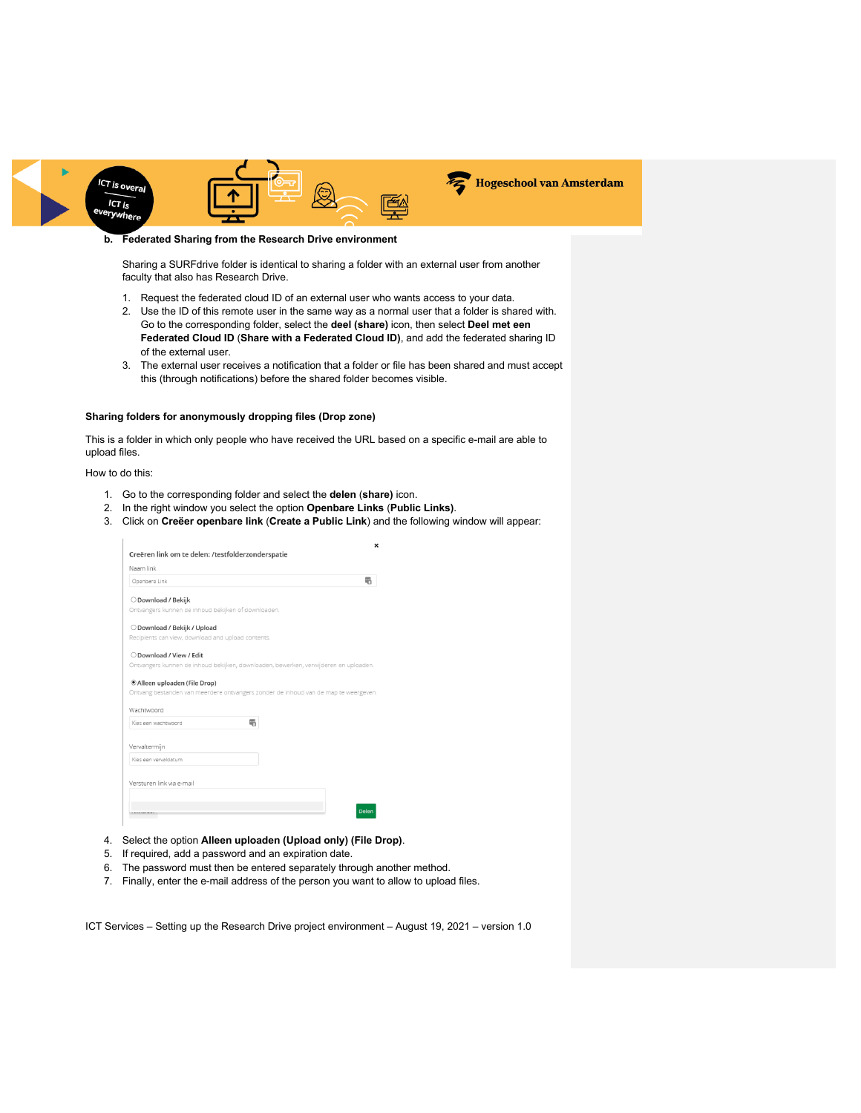

#### **b. Federated Sharing from the Research Drive environment**

Sharing a SURFdrive folder is identical to sharing a folder with an external user from another faculty that also has Research Drive.

- 1. Request the federated cloud ID of an external user who wants access to your data.
- 2. Use the ID of this remote user in the same way as a normal user that a folder is shared with. Go to the corresponding folder, select the **deel (share)** icon, then select **Deel met een Federated Cloud ID** (**Share with a Federated Cloud ID)**, and add the federated sharing ID of the external user.
- 3. The external user receives a notification that a folder or file has been shared and must accept this (through notifications) before the shared folder becomes visible.

## **Sharing folders for anonymously dropping files (Drop zone)**

This is a folder in which only people who have received the URL based on a specific e-mail are able to upload files.

How to do this:

- 1. Go to the corresponding folder and select the **delen** (**share)** icon.
- 2. In the right window you select the option **Openbare Links** (**Public Links)**.
- 3. Click on **Creëer openbare link** (**Create a Public Link**) and the following window will appear:

| Openbare Link                                                                                                                                   | 碢 |
|-------------------------------------------------------------------------------------------------------------------------------------------------|---|
| O Download / Bekijk                                                                                                                             |   |
| Ontvangers kunnen de inhoud bekijken of downloaden.                                                                                             |   |
| O Download / Bekijk / Upload                                                                                                                    |   |
| Recipients can view, download and upload contents.                                                                                              |   |
| O Download / View / Edit                                                                                                                        |   |
| Ontvangers kunnen de inhoud bekijken, downloaden, bewerken, verwijderen en uploaden.                                                            |   |
|                                                                                                                                                 |   |
|                                                                                                                                                 |   |
| 雫<br>Kies een wachtwoord                                                                                                                        |   |
| ® Alleen uploaden (File Drop)                                                                                                                   |   |
| Kies een vervaldatum                                                                                                                            |   |
|                                                                                                                                                 |   |
|                                                                                                                                                 |   |
| Ontvang bestanden van meerdere ontvangers zonder de inhoud van de map te weergeven.<br>Wachtwoord<br>Vervaltermijn<br>Versturen link via e-mail |   |

- 4. Select the option **Alleen uploaden (Upload only) (File Drop)**.
- 5. If required, add a password and an expiration date.
- 6. The password must then be entered separately through another method.
- 7. Finally, enter the e-mail address of the person you want to allow to upload files.